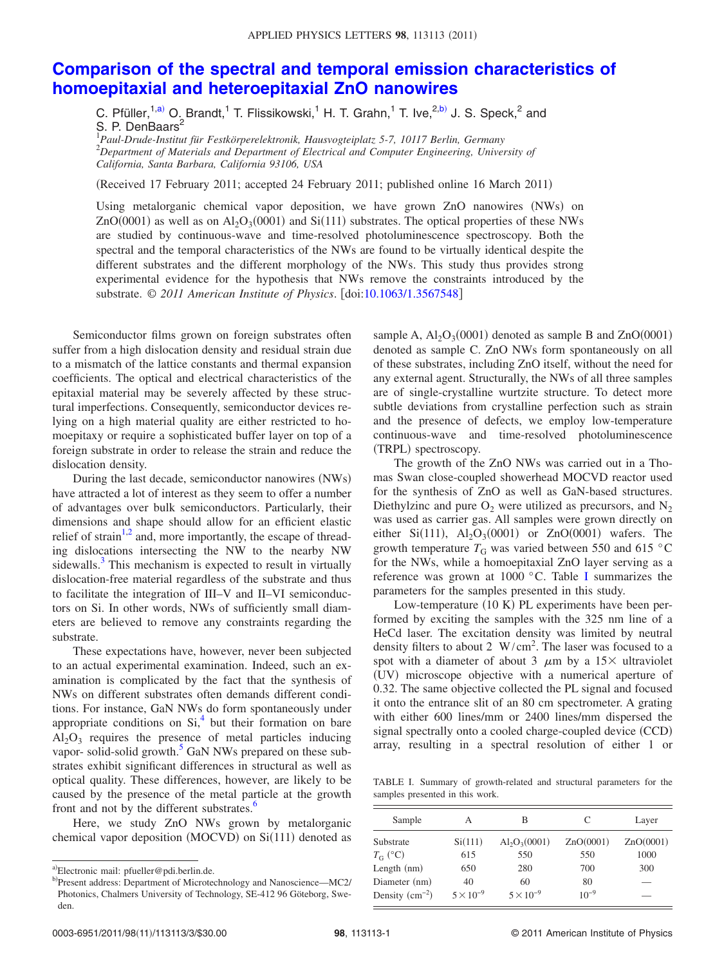## **[Comparison of the spectral and temporal emission characteristics of](http://dx.doi.org/10.1063/1.3567548) [homoepitaxial and heteroepitaxial ZnO nanowires](http://dx.doi.org/10.1063/1.3567548)**

C. Pfüller,<sup>1[,a](#page-0-0))</sup> O. Brandt,<sup>1</sup> T. Flissikowski,<sup>1</sup> H. T. Grahn,<sup>1</sup> T. Ive,<sup>2[,b](#page-0-1))</sup> J. S. Speck,<sup>2</sup> and S. P. DenBaars<sup>2</sup>

1 *Paul-Drude-Institut für Festkörperelektronik, Hausvogteiplatz 5-7, 10117 Berlin, Germany* 2 *Department of Materials and Department of Electrical and Computer Engineering, University of*

*California, Santa Barbara, California 93106, USA*

(Received 17 February 2011; accepted 24 February 2011; published online 16 March 2011)

Using metalorganic chemical vapor deposition, we have grown ZnO nanowires (NWs) on ZnO(0001) as well as on  $Al_2O_3(0001)$  and Si(111) substrates. The optical properties of these NWs are studied by continuous-wave and time-resolved photoluminescence spectroscopy. Both the spectral and the temporal characteristics of the NWs are found to be virtually identical despite the different substrates and the different morphology of the NWs. This study thus provides strong experimental evidence for the hypothesis that NWs remove the constraints introduced by the substrate. © 2011 American Institute of Physics. [doi[:10.1063/1.3567548](http://dx.doi.org/10.1063/1.3567548)]

Semiconductor films grown on foreign substrates often suffer from a high dislocation density and residual strain due to a mismatch of the lattice constants and thermal expansion coefficients. The optical and electrical characteristics of the epitaxial material may be severely affected by these structural imperfections. Consequently, semiconductor devices relying on a high material quality are either restricted to homoepitaxy or require a sophisticated buffer layer on top of a foreign substrate in order to release the strain and reduce the dislocation density.

During the last decade, semiconductor nanowires (NWs) have attracted a lot of interest as they seem to offer a number of advantages over bulk semiconductors. Particularly, their dimensions and shape should allow for an efficient elastic relief of strain<sup>1[,2](#page-2-1)</sup> and, more importantly, the escape of threading dislocations intersecting the NW to the nearby NW sidewalls. $3$  This mechanism is expected to result in virtually dislocation-free material regardless of the substrate and thus to facilitate the integration of III–V and II–VI semiconductors on Si. In other words, NWs of sufficiently small diameters are believed to remove any constraints regarding the substrate.

These expectations have, however, never been subjected to an actual experimental examination. Indeed, such an examination is complicated by the fact that the synthesis of NWs on different substrates often demands different conditions. For instance, GaN NWs do form spontaneously under appropriate conditions on  $Si<sub>1</sub><sup>4</sup>$  but their formation on bare  $Al_2O_3$  requires the presence of metal particles inducing vapor- solid-solid growth. $5$  GaN NWs prepared on these substrates exhibit significant differences in structural as well as optical quality. These differences, however, are likely to be caused by the presence of the metal particle at the growth front and not by the different substrates.<sup>6</sup>

<span id="page-0-1"></span><span id="page-0-0"></span>Here, we study ZnO NWs grown by metalorganic chemical vapor deposition (MOCVD) on Si(111) denoted as

sample A,  $Al_2O_3(0001)$  denoted as sample B and  $ZnO(0001)$ denoted as sample C. ZnO NWs form spontaneously on all of these substrates, including ZnO itself, without the need for any external agent. Structurally, the NWs of all three samples are of single-crystalline wurtzite structure. To detect more subtle deviations from crystalline perfection such as strain and the presence of defects, we employ low-temperature continuous-wave and time-resolved photoluminescence (TRPL) spectroscopy.

The growth of the ZnO NWs was carried out in a Thomas Swan close-coupled showerhead MOCVD reactor used for the synthesis of ZnO as well as GaN-based structures. Diethylzinc and pure  $O_2$  were utilized as precursors, and  $N_2$ was used as carrier gas. All samples were grown directly on either Si(111),  $Al_2O_3(0001)$  or ZnO(0001) wafers. The growth temperature  $T_G$  was varied between 550 and 615 °C for the NWs, while a homoepitaxial ZnO layer serving as a reference was grown at 1000 °C. Table [I](#page-0-2) summarizes the parameters for the samples presented in this study.

Low-temperature (10 K) PL experiments have been performed by exciting the samples with the 325 nm line of a HeCd laser. The excitation density was limited by neutral density filters to about 2  $W/cm<sup>2</sup>$ . The laser was focused to a spot with a diameter of about 3  $\mu$ m by a 15 \ ultraviolet (UV) microscope objective with a numerical aperture of 0.32. The same objective collected the PL signal and focused it onto the entrance slit of an 80 cm spectrometer. A grating with either 600 lines/mm or 2400 lines/mm dispersed the signal spectrally onto a cooled charge-coupled device (CCD) array, resulting in a spectral resolution of either 1 or

<span id="page-0-2"></span>TABLE I. Summary of growth-related and structural parameters for the samples presented in this work.

| Sample           | А                  | В                  | C         | Layer     |
|------------------|--------------------|--------------------|-----------|-----------|
| Substrate        | Si(111)            | $Al_2O_3(0001)$    | ZnO(0001) | ZnO(0001) |
| $T_{\rm G}$ (°C) | 615                | 550                | 550       | 1000      |
| Length $(nm)$    | 650                | 280                | 700       | 300       |
| Diameter (nm)    | 40                 | 60                 | 80        |           |
| Density $(cm-2)$ | $5 \times 10^{-9}$ | $5 \times 10^{-9}$ | $10^{-9}$ |           |

a)Electronic mail: pfueller@pdi.berlin.de.

b)Present address: Department of Microtechnology and Nanoscience-MC2/ Photonics, Chalmers University of Technology, SE-412 96 Göteborg, Sweden.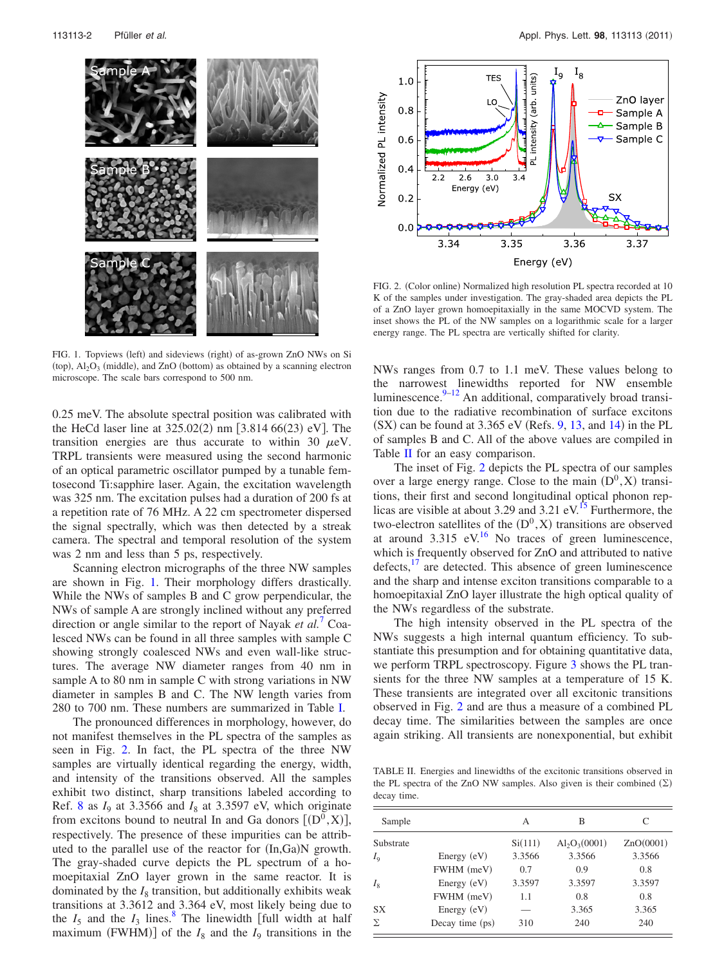<span id="page-1-0"></span>

FIG. 1. Topviews (left) and sideviews (right) of as-grown ZnO NWs on Si (top),  $Al_2O_3$  (middle), and ZnO (bottom) as obtained by a scanning electron microscope. The scale bars correspond to 500 nm.

0.25 meV. The absolute spectral position was calibrated with the HeCd laser line at  $325.02(2)$  nm [3.814 66(23) eV]. The transition energies are thus accurate to within 30  $\mu$ eV. TRPL transients were measured using the second harmonic of an optical parametric oscillator pumped by a tunable femtosecond Ti:sapphire laser. Again, the excitation wavelength was 325 nm. The excitation pulses had a duration of 200 fs at a repetition rate of 76 MHz. A 22 cm spectrometer dispersed the signal spectrally, which was then detected by a streak camera. The spectral and temporal resolution of the system was 2 nm and less than 5 ps, respectively.

Scanning electron micrographs of the three NW samples are shown in Fig. [1.](#page-1-0) Their morphology differs drastically. While the NWs of samples B and C grow perpendicular, the NWs of sample A are strongly inclined without any preferred direction or angle similar to the report of Nayak *et al.*[7](#page-2-6) Coalesced NWs can be found in all three samples with sample C showing strongly coalesced NWs and even wall-like structures. The average NW diameter ranges from 40 nm in sample A to 80 nm in sample C with strong variations in NW diameter in samples B and C. The NW length varies from 280 to 700 nm. These numbers are summarized in Table [I.](#page-0-2)

The pronounced differences in morphology, however, do not manifest themselves in the PL spectra of the samples as seen in Fig. [2.](#page-1-1) In fact, the PL spectra of the three NW samples are virtually identical regarding the energy, width, and intensity of the transitions observed. All the samples exhibit two distinct, sharp transitions labeled according to Ref. [8](#page-2-7) as  $I_9$  at 3.3566 and  $I_8$  at 3.3597 eV, which originate from excitons bound to neutral In and Ga donors  $[(D^0, X)],$ respectively. The presence of these impurities can be attributed to the parallel use of the reactor for  $(In,Ga)N$  growth. The gray-shaded curve depicts the PL spectrum of a homoepitaxial ZnO layer grown in the same reactor. It is dominated by the  $I_8$  transition, but additionally exhibits weak transitions at 3.3612 and 3.364 eV, most likely being due to the  $I_5$  and the  $I_3$  lines.<sup>8</sup> The linewidth [full width at half maximum (FWHM)] of the  $I_8$  and the  $I_9$  transitions in the

<span id="page-1-1"></span>

FIG. 2. (Color online) Normalized high resolution PL spectra recorded at 10 K of the samples under investigation. The gray-shaded area depicts the PL of a ZnO layer grown homoepitaxially in the same MOCVD system. The inset shows the PL of the NW samples on a logarithmic scale for a larger energy range. The PL spectra are vertically shifted for clarity.

NWs ranges from 0.7 to 1.1 meV. These values belong to the narrowest linewidths reported for NW ensemble luminescence.<sup>9–[12](#page-2-9)</sup> An additional, comparatively broad transition due to the radiative recombination of surface excitons  $(SX)$  can be found at 3.365 eV (Refs. [9,](#page-2-8) [13,](#page-2-10) and [14](#page-2-11)) in the PL of samples B and C. All of the above values are compiled in Table [II](#page-1-2) for an easy comparison.

The inset of Fig. [2](#page-1-1) depicts the PL spectra of our samples over a large energy range. Close to the main  $(D^0, X)$  transitions, their first and second longitudinal optical phonon replicas are visible at about 3.29 and 3.21 eV.<sup>15</sup> Furthermore, the two-electron satellites of the  $(D^0, X)$  transitions are observed at around  $3.315$  eV.<sup>16</sup> No traces of green luminescence, which is frequently observed for ZnO and attributed to native defects, $\frac{17}{17}$  are detected. This absence of green luminescence and the sharp and intense exciton transitions comparable to a homoepitaxial ZnO layer illustrate the high optical quality of the NWs regardless of the substrate.

The high intensity observed in the PL spectra of the NWs suggests a high internal quantum efficiency. To substantiate this presumption and for obtaining quantitative data, we perform TRPL spectroscopy. Figure [3](#page-2-15) shows the PL transients for the three NW samples at a temperature of 15 K. These transients are integrated over all excitonic transitions observed in Fig. [2](#page-1-1) and are thus a measure of a combined PL decay time. The similarities between the samples are once again striking. All transients are nonexponential, but exhibit

<span id="page-1-2"></span>TABLE II. Energies and linewidths of the excitonic transitions observed in the PL spectra of the ZnO NW samples. Also given is their combined  $(\Sigma)$ decay time.

| Sample    |                 | А       | В               | C         |
|-----------|-----------------|---------|-----------------|-----------|
| Substrate |                 | Si(111) | $Al_2O_3(0001)$ | ZnO(0001) |
| $I_0$     | Energy $(eV)$   | 3.3566  | 3.3566          | 3.3566    |
|           | FWHM (meV)      | 0.7     | 0.9             | 0.8       |
| $I_{8}$   | Energy $(eV)$   | 3.3597  | 3.3597          | 3.3597    |
|           | FWHM (meV)      | 1.1     | 0.8             | 0.8       |
| <b>SX</b> | Energy $(eV)$   | -       | 3.365           | 3.365     |
| Σ         | Decay time (ps) | 310     | 240             | 240       |